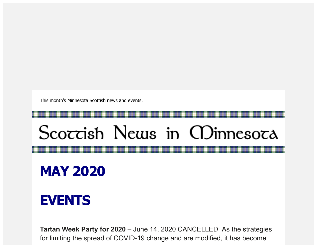This month's Minnesota Scottish news and events.

## Scoccish News in CDinnesoca

## **MAY 2020**

## **EVENTS**

**Tartan Week Party for 2020** – June 14, 2020 CANCELLED As the strategies for limiting the spread of COVID-19 change and are modified, it has become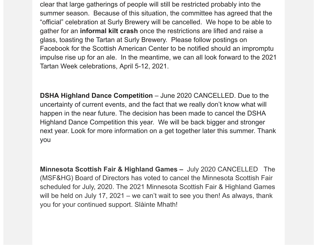clear that large gatherings of people will still be restricted probably into the summer season. Because of this situation, the committee has agreed that the "official" celebration at Surly Brewery will be cancelled. We hope to be able to gather for an **informal kilt crash** once the restrictions are lifted and raise a glass, toasting the Tartan at Surly Brewery. Please follow postings on Facebook for the Scottish American Center to be notified should an impromptu impulse rise up for an ale. In the meantime, we can all look forward to the 2021 Tartan Week celebrations, April 5-12, 2021.

**DSHA Highland Dance Competition** – June 2020 CANCELLED. Due to the uncertainty of current events, and the fact that we really don't know what will happen in the near future. The decision has been made to cancel the DSHA Highland Dance Competition this year. We will be back bigger and stronger next year. Look for more information on a get together later this summer. Thank you

**Minnesota Scottish Fair & Highland Games –** July 2020 CANCELLED The (MSF&HG) Board of Directors has voted to cancel the Minnesota Scottish Fair scheduled for July, 2020. The 2021 Minnesota Scottish Fair & Highland Games will be held on July 17, 2021 – we can't wait to see you then! As always, thank you for your continued support. Slàinte Mhath!